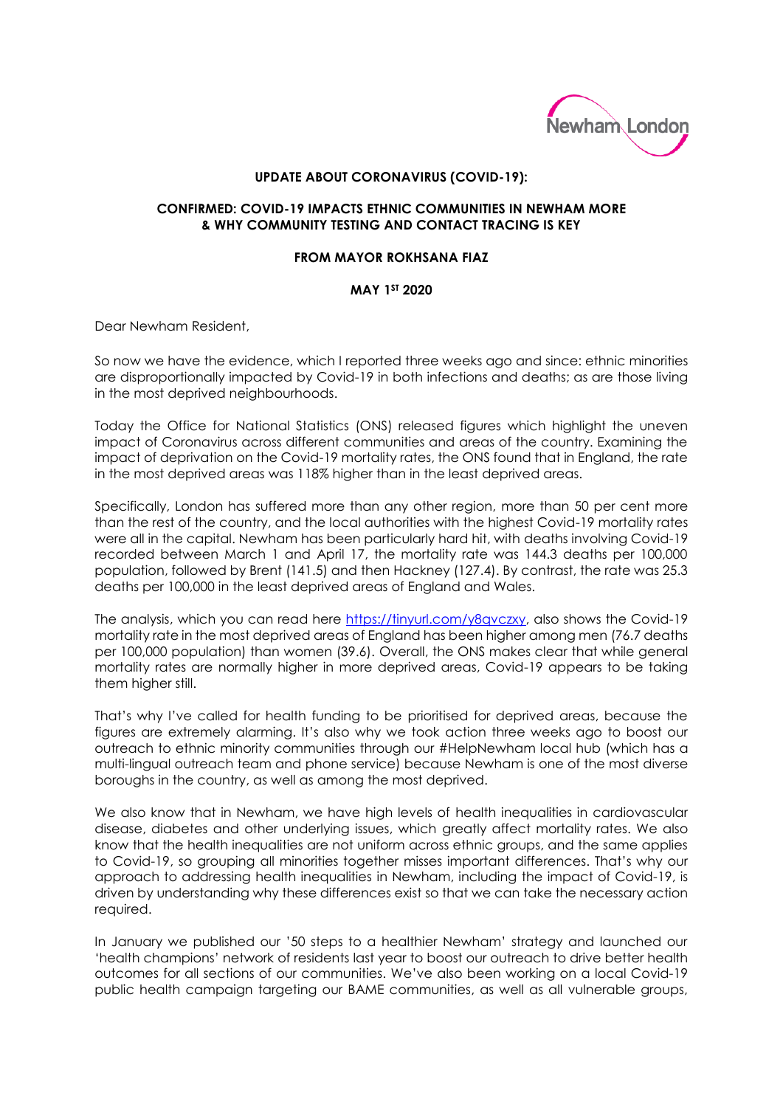

## **UPDATE ABOUT CORONAVIRUS (COVID-19):**

## **CONFIRMED: COVID-19 IMPACTS ETHNIC COMMUNITIES IN NEWHAM MORE & WHY COMMUNITY TESTING AND CONTACT TRACING IS KEY**

## **FROM MAYOR ROKHSANA FIAZ**

## **MAY 1ST 2020**

Dear Newham Resident,

So now we have the evidence, which I reported three weeks ago and since: ethnic minorities are disproportionally impacted by Covid-19 in both infections and deaths; as are those living in the most deprived neighbourhoods.

Today the Office for National Statistics (ONS) released figures which highlight the uneven impact of Coronavirus across different communities and areas of the country. Examining the impact of deprivation on the Covid-19 mortality rates, the ONS found that in England, the rate in the most deprived areas was 118% higher than in the least deprived areas.

Specifically, London has suffered more than any other region, more than 50 per cent more than the rest of the country, and the local authorities with the highest Covid-19 mortality rates were all in the capital. Newham has been particularly hard hit, with deaths involving Covid-19 recorded between March 1 and April 17, the mortality rate was 144.3 deaths per 100,000 population, followed by Brent (141.5) and then Hackney (127.4). By contrast, the rate was 25.3 deaths per 100,000 in the least deprived areas of England and Wales.

The analysis, which you can read here [https://tinyurl.com/y8qvczxy,](https://tinyurl.com/y8qvczxy) also shows the Covid-19 mortality rate in the most deprived areas of England has been higher among men (76.7 deaths per 100,000 population) than women (39.6). Overall, the ONS makes clear that while general mortality rates are normally higher in more deprived areas, Covid-19 appears to be taking them higher still.

That's why I've called for health funding to be prioritised for deprived areas, because the figures are extremely alarming. It's also why we took action three weeks ago to boost our outreach to ethnic minority communities through our #HelpNewham local hub (which has a multi-lingual outreach team and phone service) because Newham is one of the most diverse boroughs in the country, as well as among the most deprived.

We also know that in Newham, we have high levels of health inequalities in cardiovascular disease, diabetes and other underlying issues, which greatly affect mortality rates. We also know that the health inequalities are not uniform across ethnic groups, and the same applies to Covid-19, so grouping all minorities together misses important differences. That's why our approach to addressing health inequalities in Newham, including the impact of Covid-19, is driven by understanding why these differences exist so that we can take the necessary action required.

In January we published our '50 steps to a healthier Newham' strategy and launched our 'health champions' network of residents last year to boost our outreach to drive better health outcomes for all sections of our communities. We've also been working on a local Covid-19 public health campaign targeting our BAME communities, as well as all vulnerable groups,